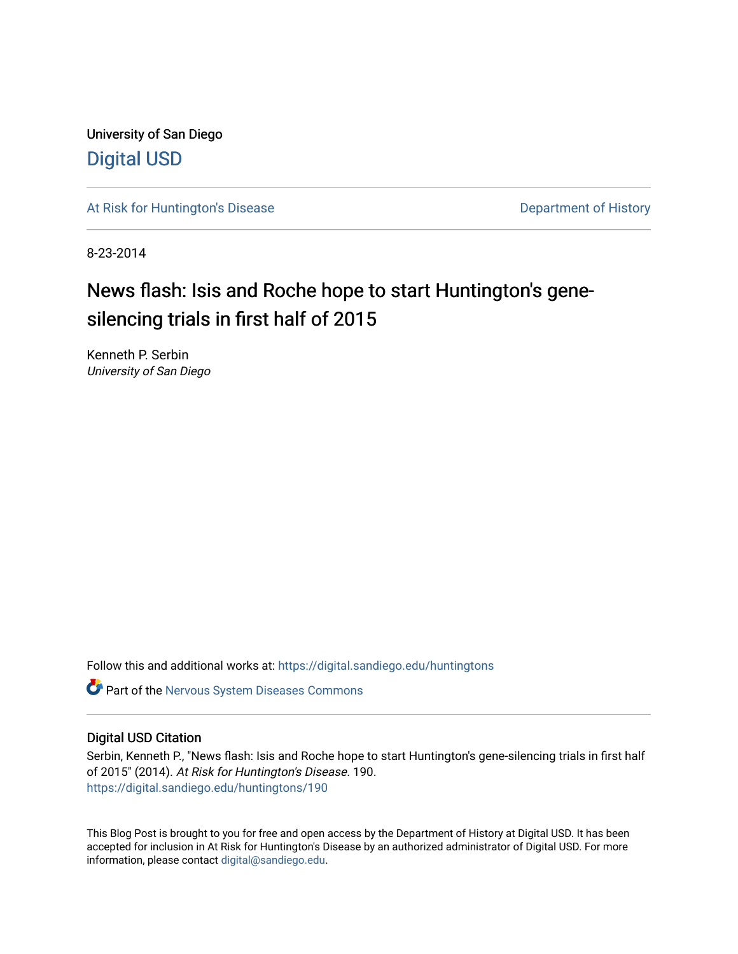University of San Diego [Digital USD](https://digital.sandiego.edu/)

[At Risk for Huntington's Disease](https://digital.sandiego.edu/huntingtons) **Department of History** Department of History

8-23-2014

# News flash: Isis and Roche hope to start Huntington's genesilencing trials in first half of 2015

Kenneth P. Serbin University of San Diego

Follow this and additional works at: [https://digital.sandiego.edu/huntingtons](https://digital.sandiego.edu/huntingtons?utm_source=digital.sandiego.edu%2Fhuntingtons%2F190&utm_medium=PDF&utm_campaign=PDFCoverPages)

**C** Part of the [Nervous System Diseases Commons](http://network.bepress.com/hgg/discipline/928?utm_source=digital.sandiego.edu%2Fhuntingtons%2F190&utm_medium=PDF&utm_campaign=PDFCoverPages)

## Digital USD Citation

Serbin, Kenneth P., "News flash: Isis and Roche hope to start Huntington's gene-silencing trials in first half of 2015" (2014). At Risk for Huntington's Disease. 190. [https://digital.sandiego.edu/huntingtons/190](https://digital.sandiego.edu/huntingtons/190?utm_source=digital.sandiego.edu%2Fhuntingtons%2F190&utm_medium=PDF&utm_campaign=PDFCoverPages)

This Blog Post is brought to you for free and open access by the Department of History at Digital USD. It has been accepted for inclusion in At Risk for Huntington's Disease by an authorized administrator of Digital USD. For more information, please contact [digital@sandiego.edu.](mailto:digital@sandiego.edu)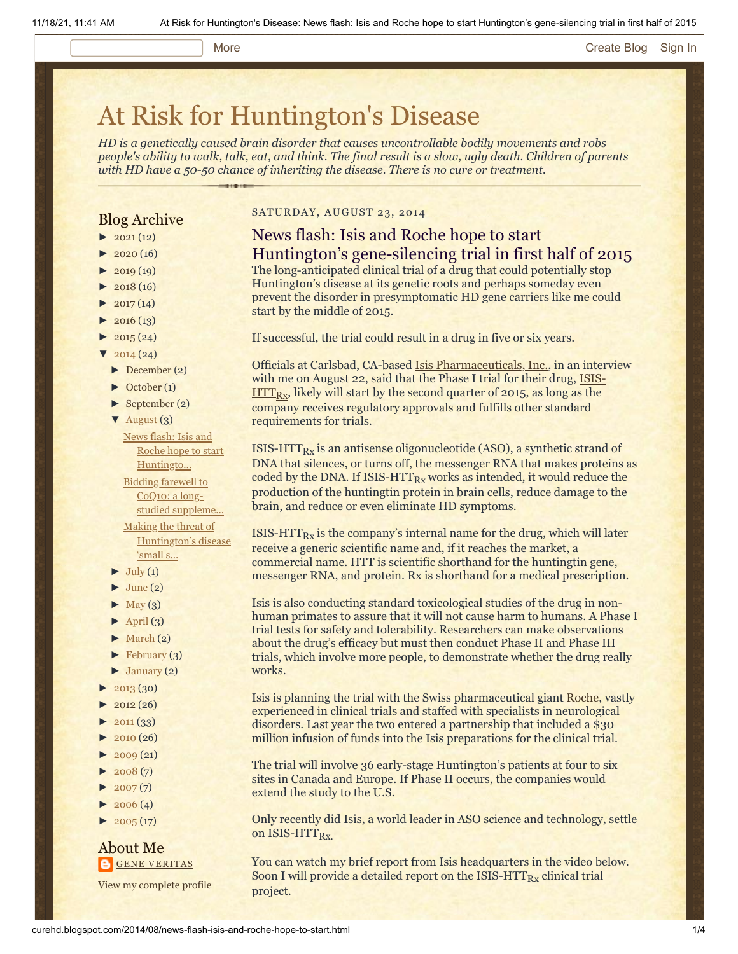#### More **[Create Blog](https://draft.blogger.com/home#create) [Sign In](https://draft.blogger.com/)**

# [At Risk for Huntington's Disease](http://curehd.blogspot.com/)

*HD is a genetically caused brain disorder that causes uncontrollable bodily movements and robs people's ability to walk, talk, eat, and think. The final result is a slow, ugly death. Children of parents with HD have a 50-50 chance of inheriting the disease. There is no cure or treatment.*

## Blog Archive

- $\blacktriangleright$  [2021](http://curehd.blogspot.com/2021/) (12)
- $2020(16)$  $2020(16)$
- $2019(19)$  $2019(19)$
- $\blacktriangleright$  [2018](http://curehd.blogspot.com/2018/) (16)
- $2017(14)$  $2017(14)$
- $2016(13)$  $2016(13)$
- $\blacktriangleright$  [2015](http://curehd.blogspot.com/2015/) (24)
- $\frac{1}{2014}$  $\frac{1}{2014}$  $\frac{1}{2014}$  (24)
- [►](javascript:void(0)) [December](http://curehd.blogspot.com/2014/12/) (2)
- [►](javascript:void(0)) [October](http://curehd.blogspot.com/2014/10/) (1)
- [►](javascript:void(0)) [September](http://curehd.blogspot.com/2014/09/) (2)
- $\blacktriangledown$  [August](http://curehd.blogspot.com/2014/08/)  $(3)$ News flash: Isis and

Roche hope to start [Huntingto...](http://curehd.blogspot.com/2014/08/news-flash-isis-and-roche-hope-to-start.html) Bidding farewell to CoQ10: a longstudied [suppleme...](http://curehd.blogspot.com/2014/08/bidding-farewell-to-coq10-long-studied.html) Making the threat of [Huntington's](http://curehd.blogspot.com/2014/08/making-threat-of-huntingtons-disease.html) disease 'small s...

- $\blacktriangleright$  [July](http://curehd.blogspot.com/2014/07/) (1)
- $\blacktriangleright$  [June](http://curehd.blogspot.com/2014/06/) (2)
- $\blacktriangleright$  [May](http://curehd.blogspot.com/2014/05/) (3)
- $\blacktriangleright$  [April](http://curehd.blogspot.com/2014/04/) (3)
- $\blacktriangleright$  [March](http://curehd.blogspot.com/2014/03/) (2)
- $\blacktriangleright$  [February](http://curehd.blogspot.com/2014/02/) (3)
- $\blacktriangleright$  [January](http://curehd.blogspot.com/2014/01/) (2)
- [►](javascript:void(0)) [2013](http://curehd.blogspot.com/2013/) (30)
- $2012(26)$  $2012(26)$
- $-2011(33)$  $-2011(33)$  $-2011(33)$
- $\blacktriangleright$  [2010](http://curehd.blogspot.com/2010/) (26)
- $2009(21)$  $2009(21)$
- $2008(7)$  $2008(7)$
- $2007(7)$  $2007(7)$
- $\blacktriangleright$  [2006](http://curehd.blogspot.com/2006/) (4)
- $\blacktriangleright$  [2005](http://curehd.blogspot.com/2005/) (17)

## About Me **GENE [VERITAS](https://draft.blogger.com/profile/10911736205741688185)**

View my [complete](https://draft.blogger.com/profile/10911736205741688185) profile

## SATURDAY, AUGUST 23, 2014

## News flash: Isis and Roche hope to start Huntington's gene-silencing trial in first half of 2015

The long-anticipated clinical trial of a drug that could potentially stop Huntington's disease at its genetic roots and perhaps someday even prevent the disorder in presymptomatic HD gene carriers like me could start by the middle of 2015.

If successful, the trial could result in a drug in five or six years.

Officials at Carlsbad, CA-based [Isis Pharmaceuticals, Inc.,](http://www.isispharm.com/index.htm) in an interview with me on August 22, said that the Phase I trial for their drug, ISIS- $\overline{\text{HTT}_{\text{Rx}}}$ [, likely will start by the second quarter of 2015, as](http://www.isispharm.com/Pipeline/index.htm) long as the company receives regulatory approvals and fulfills other standard requirements for trials.

ISIS-HTT $_{\rm{Rx}}$  is an antisense oligonucleotide (ASO), a synthetic strand of DNA that silences, or turns off, the messenger RNA that makes proteins as coded by the DNA. If ISIS-HTT $_{Rx}$  works as intended, it would reduce the production of the huntingtin protein in brain cells, reduce damage to the brain, and reduce or even eliminate HD symptoms.

ISIS-HTT $_{\rm{Rx}}$  is the company's internal name for the drug, which will later receive a generic scientific name and, if it reaches the market, a commercial name. HTT is scientific shorthand for the huntingtin gene, messenger RNA, and protein. Rx is shorthand for a medical prescription.

Isis is also conducting standard toxicological studies of the drug in nonhuman primates to assure that it will not cause harm to humans. A Phase I trial tests for safety and tolerability. Researchers can make observations about the drug's efficacy but must then conduct Phase II and Phase III trials, which involve more people, to demonstrate whether the drug really works.

Isis is planning the trial with the Swiss pharmaceutical giant [Roche](http://www.roche.com/index.htm), vastly experienced in clinical trials and staffed with specialists in neurological disorders. Last year the two entered a partnership that included a \$30 million infusion of funds into the Isis preparations for the clinical trial.

The trial will involve 36 early-stage Huntington's patients at four to six sites in Canada and Europe. If Phase II occurs, the companies would extend the study to the U.S.

Only recently did Isis, a world leader in ASO science and technology, settle on ISIS-HTT<sub>Rx.</sub>

You can watch my brief report from Isis headquarters in the video below. Soon I will provide a detailed report on the ISIS-HTT $_{\rm{Rx}}$  clinical trial project.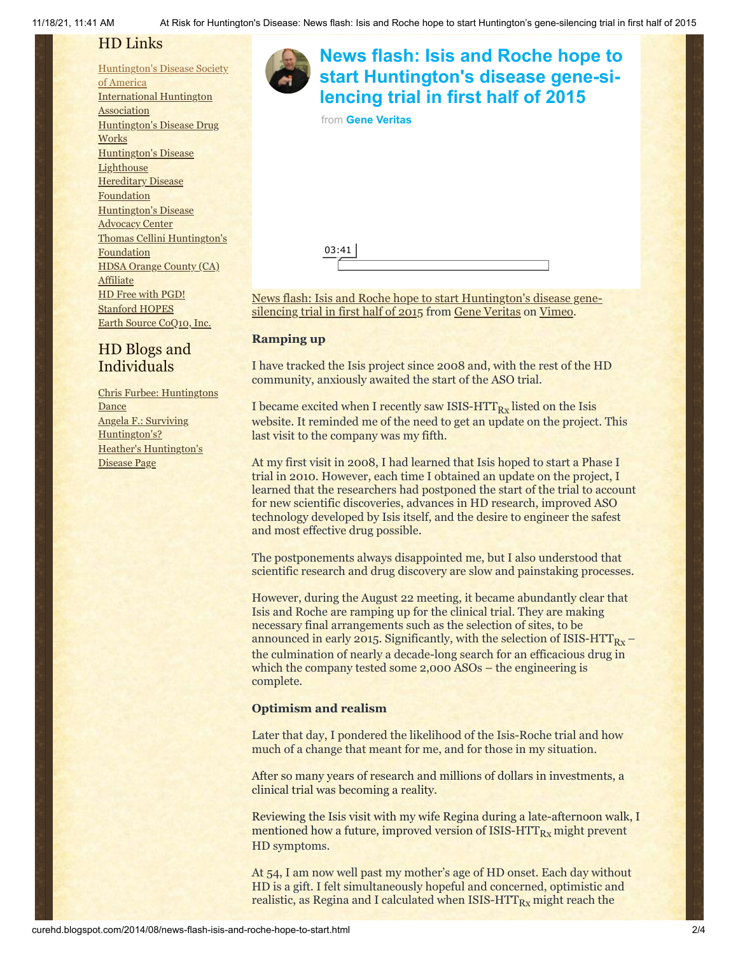## HD Links

[Huntington's](http://www.hdsa.org/) Disease Society of America [International](http://www.huntington-assoc.com/) Huntington **Association** [Huntington's](http://hddrugworks.org/) Disease Drug **Works** [Huntington's](http://www.hdlighthouse.org/) Disease **Lighthouse Hereditary Disease** [Foundation](http://www.hdfoundation.org/) [Huntington's](http://www.hdac.org/) Disease Advocacy Center Thomas [Cellini Huntington's](http://www.ourtchfoundation.org/) **Foundation** HDSA Orange County (CA) **[Affiliate](http://www.hdsaoc.org/)** HD Free with [PGD!](http://www.hdfreewithpgd.com/) [Stanford](http://www.stanford.edu/group/hopes/) HOPES Earth Source [CoQ10,](http://www.escoq10.com/) Inc.

## HD Blogs and Individuals

Chris Furbee: [Huntingtons](http://www.huntingtonsdance.org/) Dance Angela F.: Surviving [Huntington's?](http://survivinghuntingtons.blogspot.com/) Heather's [Huntington's](http://heatherdugdale.angelfire.com/) Disease Page



## **[News flash: Isis and Roche hope to](https://vimeo.com/104198653?embedded=true&source=video_title&owner=6019843) start Huntington's disease gene-silencing trial in first half of 2015** from **[Gene Veritas](https://vimeo.com/user6019843?embedded=true&source=owner_name&owner=6019843)**

[News flash: Isis and Roche hope to start Huntington's disease gene-](http://vimeo.com/104198653)

silencing trial in first half of 2015 from [Gene Veritas](http://vimeo.com/user6019843) on [Vimeo.](https://vimeo.com/)

## **Ramping up**

03:41

I have tracked the Isis project since 2008 and, with the rest of the HD community, anxiously awaited the start of the ASO trial.

I became excited when I recently saw ISIS-HTT $_{\rm{Rx}}$  listed on the Isis website. It reminded me of the need to get an update on the project. This last visit to the company was my fifth.

At my first visit in 2008, I had learned that Isis hoped to start a Phase I trial in 2010. However, each time I obtained an update on the project, I learned that the researchers had postponed the start of the trial to account for new scientific discoveries, advances in HD research, improved ASO technology developed by Isis itself, and the desire to engineer the safest and most effective drug possible.

The postponements always disappointed me, but I also understood that scientific research and drug discovery are slow and painstaking processes.

However, during the August 22 meeting, it became abundantly clear that Isis and Roche are ramping up for the clinical trial. They are making necessary final arrangements such as the selection of sites, to be announced in early 2015. Significantly, with the selection of ISIS-HTT<sub>Rx</sub> – the culmination of nearly a decade-long search for an efficacious drug in which the company tested some 2,000 ASOs – the engineering is complete.

## **Optimism and realism**

Later that day, I pondered the likelihood of the Isis-Roche trial and how much of a change that meant for me, and for those in my situation.

After so many years of research and millions of dollars in investments, a clinical trial was becoming a reality.

Reviewing the Isis visit with my wife Regina during a late-afternoon walk, I mentioned how a future, improved version of ISIS-HTT $_{Rx}$  might prevent HD symptoms.

At 54, I am now well past my mother's age of HD onset. Each day without HD is a gift. I felt simultaneously hopeful and concerned, optimistic and realistic, as Regina and I calculated when ISIS-HTT $_{Rx}$  might reach the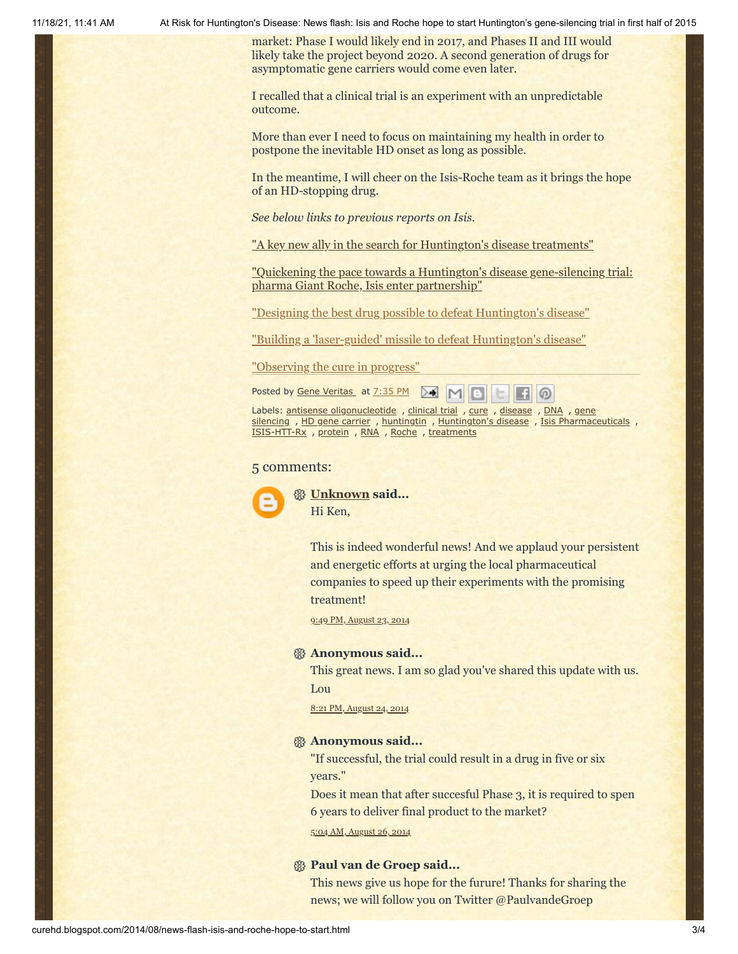11/18/21, 11:41 AM At Risk for Huntington's Disease: News flash: Isis and Roche hope to start Huntington's gene-silencing trial in first half of 2015

market: Phase I would likely end in 2017, and Phases II and III would likely take the project beyond 2020. A second generation of drugs for asymptomatic gene carriers would come even later.

I recalled that a clinical trial is an experiment with an unpredictable outcome.

More than ever I need to focus on maintaining my health in order to postpone the inevitable HD onset as long as possible.

In the meantime, I will cheer on the Isis-Roche team as it brings the hope of an HD-stopping drug.

*See below links to previous reports on Isis.*

["A key new ally in the search for Huntington's disease treatments"](http://www.curehd.blogspot.com/2013/04/a-key-new-ally-in-search-for.html)

["Quickening the pace towards a Huntington's disease gene-silencing trial:](http://www.curehd.blogspot.com/2013/04/quickening-pace-towards-huntingtons.html) pharma Giant Roche, Isis enter partnership"

["Designing the best drug possible to defeat Huntington's disease"](http://curehd.blogspot.com/2012/11/designing-best-drug-possible-to-defeat_17.html)

["Building a 'laser-guided' missile to defeat Huntington's disease"](http://curehd.blogspot.com/2008/04/building-laser-guided-missile-to-attack.html)

["Observing the cure in progress"](http://curehd.blogspot.com/2008/04/observing-cure-in-progress.html)

Posted by Gene [Veritas](https://draft.blogger.com/profile/03599828959793084715) at [7:35](http://curehd.blogspot.com/2014/08/news-flash-isis-and-roche-hope-to-start.html) PM  $\triangleright$  $M$ က

Labels: antisense [oligonucleotide](http://curehd.blogspot.com/search/label/antisense%20oligonucleotide) , [clinical](http://curehd.blogspot.com/search/label/clinical%20trial) trial , [cure](http://curehd.blogspot.com/search/label/cure) , [disease](http://curehd.blogspot.com/search/label/disease) , [DNA](http://curehd.blogspot.com/search/label/DNA) , gene silencing , HD gene [carrier](http://curehd.blogspot.com/search/label/HD%20gene%20carrier) , [huntingtin](http://curehd.blogspot.com/search/label/huntingtin) , [Huntington's](http://curehd.blogspot.com/search/label/Huntington%27s%20disease) disease , Isis [Pharmaceuticals](http://curehd.blogspot.com/search/label/Isis%20Pharmaceuticals) , [ISIS-HTT-Rx](http://curehd.blogspot.com/search/label/ISIS-HTT-Rx) , [protein](http://curehd.blogspot.com/search/label/protein) , [RNA](http://curehd.blogspot.com/search/label/RNA) , [Roche](http://curehd.blogspot.com/search/label/Roche) , [treatments](http://curehd.blogspot.com/search/label/treatments)

#### 5 comments:



**[Unknown](https://draft.blogger.com/profile/08344530959544546220) said...** Hi Ken,

> This is indeed wonderful news! And we applaud your persistent and energetic efforts at urging the local pharmaceutical companies to speed up their experiments with the promising treatment!

9:49 PM, [August](http://curehd.blogspot.com/2014/08/news-flash-isis-and-roche-hope-to-start.html?showComment=1408855770106#c1965303519863939686) 23, 2014

#### **Anonymous said...**

This great news. I am so glad you've shared this update with us. Lou

8:21 PM, [August](http://curehd.blogspot.com/2014/08/news-flash-isis-and-roche-hope-to-start.html?showComment=1408936915688#c5175341726522026153) 24, 2014

## **Anonymous said...**

"If successful, the trial could result in a drug in five or six years."

Does it mean that after succesful Phase 3, it is required to spen 6 years to deliver final product to the market?

5:04 AM, [August](http://curehd.blogspot.com/2014/08/news-flash-isis-and-roche-hope-to-start.html?showComment=1409054677497#c2623417232406131727) 26, 2014

### **Paul van de Groep said...**

This news give us hope for the furure! Thanks for sharing the news; we will follow you on Twitter @PaulvandeGroep